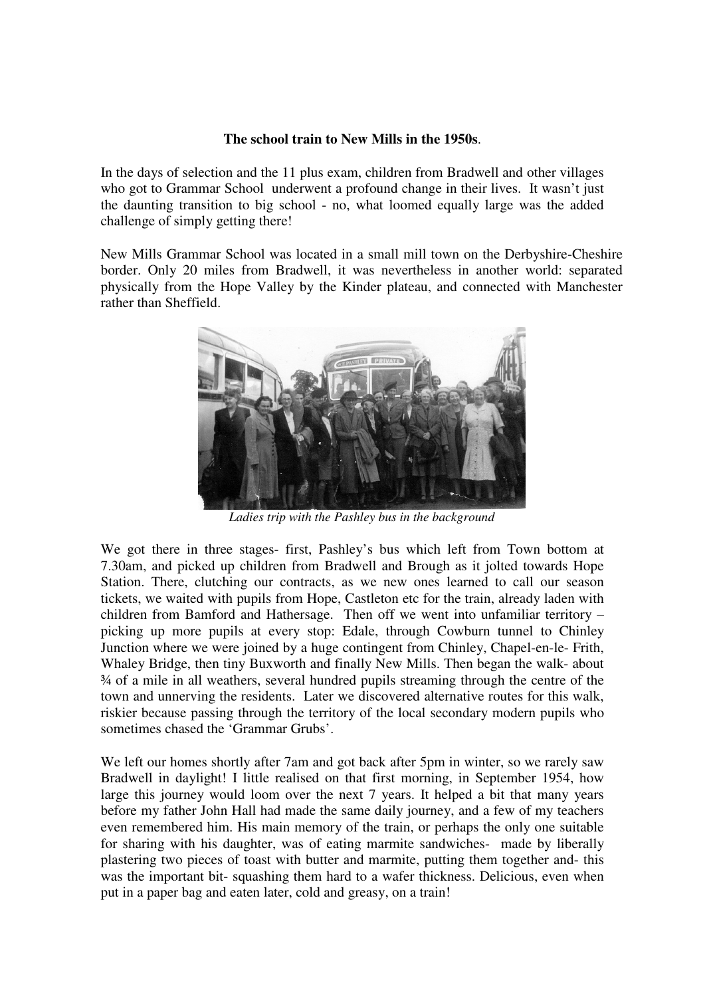## **The school train to New Mills in the 1950s**.

In the days of selection and the 11 plus exam, children from Bradwell and other villages who got to Grammar School underwent a profound change in their lives. It wasn't just the daunting transition to big school - no, what loomed equally large was the added challenge of simply getting there!

New Mills Grammar School was located in a small mill town on the Derbyshire-Cheshire border. Only 20 miles from Bradwell, it was nevertheless in another world: separated physically from the Hope Valley by the Kinder plateau, and connected with Manchester rather than Sheffield.



*Ladies trip with the Pashley bus in the background* 

We got there in three stages- first, Pashley's bus which left from Town bottom at 7.30am, and picked up children from Bradwell and Brough as it jolted towards Hope Station. There, clutching our contracts, as we new ones learned to call our season tickets, we waited with pupils from Hope, Castleton etc for the train, already laden with children from Bamford and Hathersage. Then off we went into unfamiliar territory – picking up more pupils at every stop: Edale, through Cowburn tunnel to Chinley Junction where we were joined by a huge contingent from Chinley, Chapel-en-le- Frith, Whaley Bridge, then tiny Buxworth and finally New Mills. Then began the walk- about ¾ of a mile in all weathers, several hundred pupils streaming through the centre of the town and unnerving the residents. Later we discovered alternative routes for this walk, riskier because passing through the territory of the local secondary modern pupils who sometimes chased the 'Grammar Grubs'.

We left our homes shortly after 7am and got back after 5pm in winter, so we rarely saw Bradwell in daylight! I little realised on that first morning, in September 1954, how large this journey would loom over the next 7 years. It helped a bit that many years before my father John Hall had made the same daily journey, and a few of my teachers even remembered him. His main memory of the train, or perhaps the only one suitable for sharing with his daughter, was of eating marmite sandwiches- made by liberally plastering two pieces of toast with butter and marmite, putting them together and- this was the important bit- squashing them hard to a wafer thickness. Delicious, even when put in a paper bag and eaten later, cold and greasy, on a train!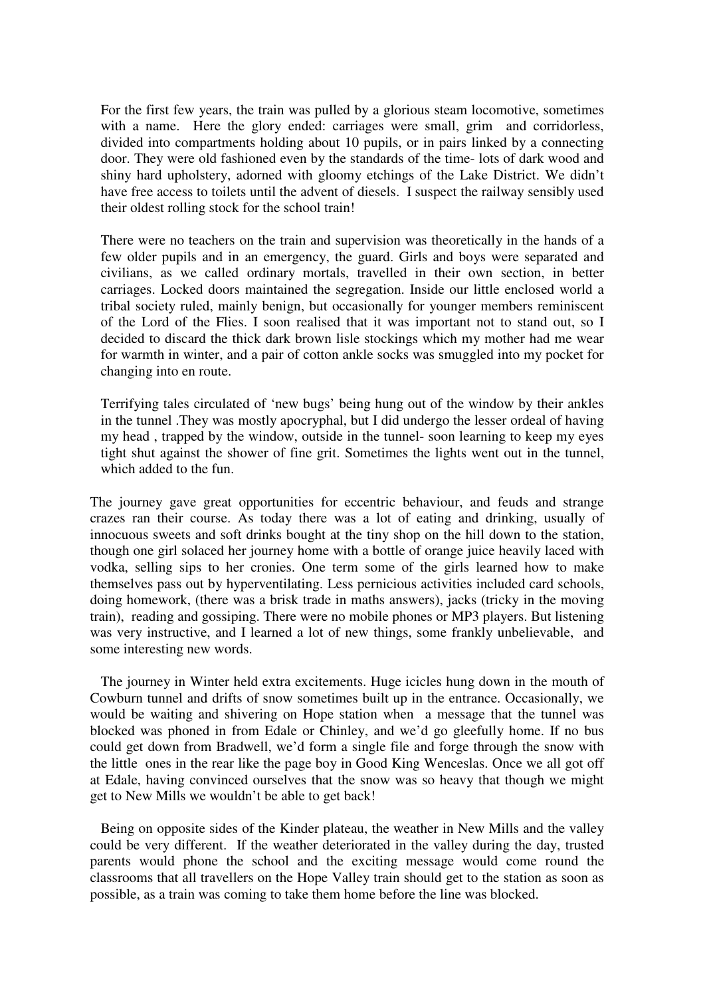For the first few years, the train was pulled by a glorious steam locomotive, sometimes with a name. Here the glory ended: carriages were small, grim and corridorless, divided into compartments holding about 10 pupils, or in pairs linked by a connecting door. They were old fashioned even by the standards of the time- lots of dark wood and shiny hard upholstery, adorned with gloomy etchings of the Lake District. We didn't have free access to toilets until the advent of diesels. I suspect the railway sensibly used their oldest rolling stock for the school train!

There were no teachers on the train and supervision was theoretically in the hands of a few older pupils and in an emergency, the guard. Girls and boys were separated and civilians, as we called ordinary mortals, travelled in their own section, in better carriages. Locked doors maintained the segregation. Inside our little enclosed world a tribal society ruled, mainly benign, but occasionally for younger members reminiscent of the Lord of the Flies. I soon realised that it was important not to stand out, so I decided to discard the thick dark brown lisle stockings which my mother had me wear for warmth in winter, and a pair of cotton ankle socks was smuggled into my pocket for changing into en route.

Terrifying tales circulated of 'new bugs' being hung out of the window by their ankles in the tunnel .They was mostly apocryphal, but I did undergo the lesser ordeal of having my head , trapped by the window, outside in the tunnel- soon learning to keep my eyes tight shut against the shower of fine grit. Sometimes the lights went out in the tunnel, which added to the fun.

The journey gave great opportunities for eccentric behaviour, and feuds and strange crazes ran their course. As today there was a lot of eating and drinking, usually of innocuous sweets and soft drinks bought at the tiny shop on the hill down to the station, though one girl solaced her journey home with a bottle of orange juice heavily laced with vodka, selling sips to her cronies. One term some of the girls learned how to make themselves pass out by hyperventilating. Less pernicious activities included card schools, doing homework, (there was a brisk trade in maths answers), jacks (tricky in the moving train), reading and gossiping. There were no mobile phones or MP3 players. But listening was very instructive, and I learned a lot of new things, some frankly unbelievable, and some interesting new words.

The journey in Winter held extra excitements. Huge icicles hung down in the mouth of Cowburn tunnel and drifts of snow sometimes built up in the entrance. Occasionally, we would be waiting and shivering on Hope station when a message that the tunnel was blocked was phoned in from Edale or Chinley, and we'd go gleefully home. If no bus could get down from Bradwell, we'd form a single file and forge through the snow with the little ones in the rear like the page boy in Good King Wenceslas. Once we all got off at Edale, having convinced ourselves that the snow was so heavy that though we might get to New Mills we wouldn't be able to get back!

Being on opposite sides of the Kinder plateau, the weather in New Mills and the valley could be very different. If the weather deteriorated in the valley during the day, trusted parents would phone the school and the exciting message would come round the classrooms that all travellers on the Hope Valley train should get to the station as soon as possible, as a train was coming to take them home before the line was blocked.